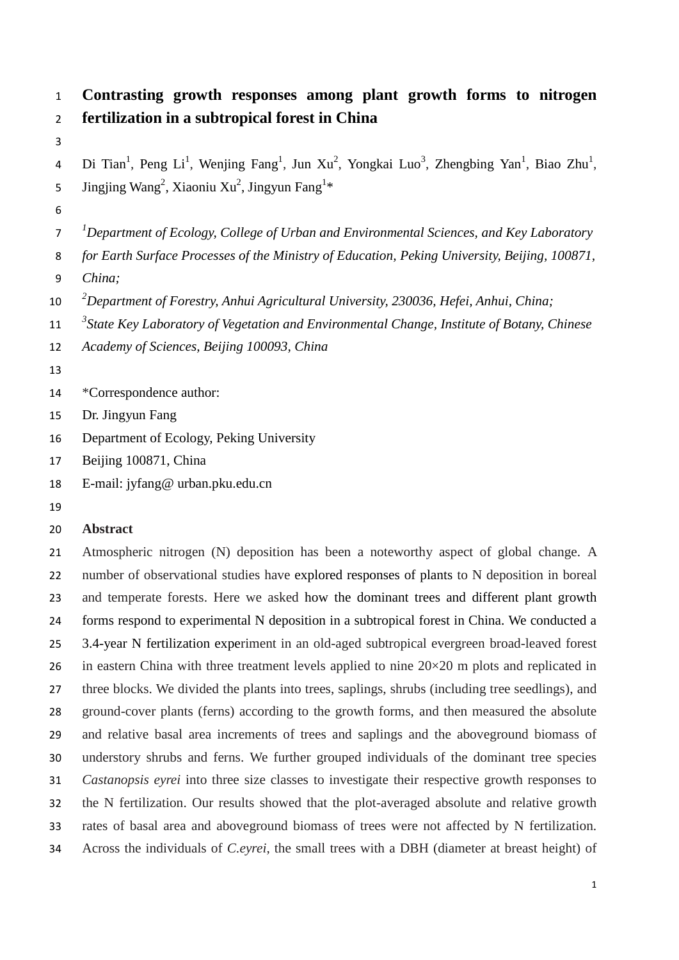# **Contrasting growth responses among plant growth forms to nitrogen fertilization in a subtropical forest in China**

- 
- *1 Department of Ecology, College of Urban and Environmental Sciences, and Key Laboratory*
- *for Earth Surface Processes of the Ministry of Education, Peking University, Beijing, 100871,*
- *China;*
- *2 Department of Forestry, Anhui Agricultural University, 230036, Hefei, Anhui, China;*
- *3 State Key Laboratory of Vegetation and Environmental Change, Institute of Botany, Chinese*
- *Academy of Sciences, Beijing 100093, China*
- 
- \*Correspondence author:
- Dr. Jingyun Fang
- Department of Ecology, Peking University
- Beijing 100871, China
- E-mail: [jyfang@ urban.pku.edu.cn](mailto:jyfang@urban.pku.edu.cn)
- 

## **Abstract**

 Atmospheric nitrogen (N) deposition has been a noteworthy aspect of global change. A number of observational studies have explored responses of plants to N deposition in boreal and temperate forests. Here we asked how the dominant trees and different plant growth forms respond to experimental N deposition in a subtropical forest in China. We conducted a 3.4-year N fertilization experiment in an old-aged subtropical evergreen broad-leaved forest 26 in eastern China with three treatment levels applied to nine  $20 \times 20$  m plots and replicated in three blocks. We divided the plants into trees, saplings, shrubs (including tree seedlings), and ground-cover plants (ferns) according to the growth forms, and then measured the absolute and relative basal area increments of trees and saplings and the aboveground biomass of understory shrubs and ferns. We further grouped individuals of the dominant tree species *Castanopsis eyrei* into three size classes to investigate their respective growth responses to the N fertilization. Our results showed that the plot-averaged absolute and relative growth rates of basal area and aboveground biomass of trees were not affected by N fertilization. Across the individuals of *C.eyrei*, the small trees with a DBH (diameter at breast height) of

<sup>4</sup> Di Tian<sup>1</sup>, Peng Li<sup>1</sup>, Wenjing Fang<sup>1</sup>, Jun Xu<sup>2</sup>, Yongkai Luo<sup>3</sup>, Zhengbing Yan<sup>1</sup>, Biao Zhu<sup>1</sup>, 5 Jingjing Wang<sup>2</sup>, Xiaoniu Xu<sup>2</sup>, Jingyun Fang<sup>1\*</sup>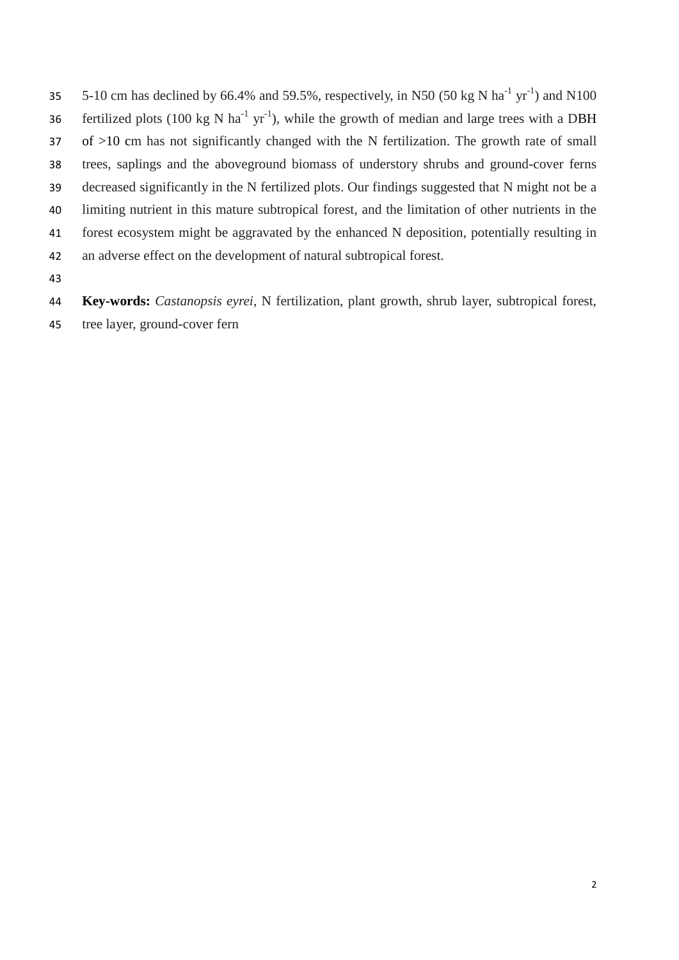35 5-10 cm has declined by 66.4% and 59.5%, respectively, in N50 (50 kg N ha<sup>-1</sup> yr<sup>-1</sup>) and N100 36 fertilized plots (100 kg N ha<sup>-1</sup> yr<sup>-1</sup>), while the growth of median and large trees with a DBH of >10 cm has not significantly changed with the N fertilization. The growth rate of small trees, saplings and the aboveground biomass of understory shrubs and ground-cover ferns decreased significantly in the N fertilized plots. Our findings suggested that N might not be a limiting nutrient in this mature subtropical forest, and the limitation of other nutrients in the forest ecosystem might be aggravated by the enhanced N deposition, potentially resulting in an adverse effect on the development of natural subtropical forest.

**Key-words:** *Castanopsis eyrei*, N fertilization, plant growth, shrub layer, subtropical forest,

tree layer, ground-cover fern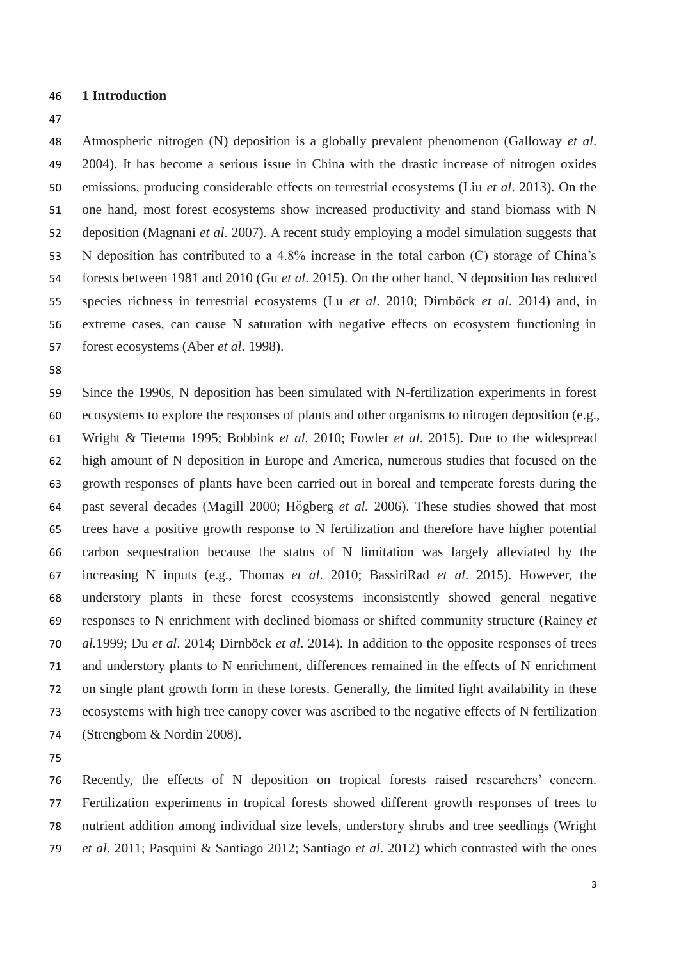#### **1 Introduction**

 Atmospheric nitrogen (N) deposition is a globally prevalent phenomenon (Galloway *et al*. 2004). It has become a serious issue in China with the drastic increase of nitrogen oxides emissions, producing considerable effects on terrestrial ecosystems (Liu *et al*. 2013). On the one hand, most forest ecosystems show increased productivity and stand biomass with N deposition (Magnani *et al*. 2007). A recent study employing a model simulation suggests that N deposition has contributed to a 4.8% increase in the total carbon (C) storage of China's forests between 1981 and 2010 (Gu *et al*. 2015). On the other hand, N deposition has reduced species richness in terrestrial ecosystems (Lu *et al*. 2010; Dirnböck *et al*. 2014) and, in extreme cases, can cause N saturation with negative effects on ecosystem functioning in forest ecosystems (Aber *et al*. 1998).

 Since the 1990s, N deposition has been simulated with N-fertilization experiments in forest ecosystems to explore the responses of plants and other organisms to nitrogen deposition (e.g., Wright & Tietema 1995; Bobbink *et al.* 2010; Fowler *et al*. 2015). Due to the widespread high amount of N deposition in Europe and America, numerous studies that focused on the growth responses of plants have been carried out in boreal and temperate forests during the past several decades (Magill 2000; Högberg *et al.* 2006). These studies showed that most trees have a positive growth response to N fertilization and therefore have higher potential carbon sequestration because the status of N limitation was largely alleviated by the increasing N inputs (e.g., Thomas *et al*. 2010; BassiriRad *et al*. 2015). However, the understory plants in these forest ecosystems inconsistently showed general negative responses to N enrichment with declined biomass or shifted community structure (Rainey *et al.*1999; Du *et al*. 2014; Dirnböck *et al*. 2014). In addition to the opposite responses of trees and understory plants to N enrichment, differences remained in the effects of N enrichment on single plant growth form in these forests. Generally, the limited light availability in these ecosystems with high tree canopy cover was ascribed to the negative effects of N fertilization (Strengbom & Nordin 2008).

 Recently, the effects of N deposition on tropical forests raised researchers' concern. Fertilization experiments in tropical forests showed different growth responses of trees to nutrient addition among individual size levels, understory shrubs and tree seedlings (Wright *et al*. 2011; Pasquini & Santiago 2012; Santiago *et al*. 2012) which contrasted with the ones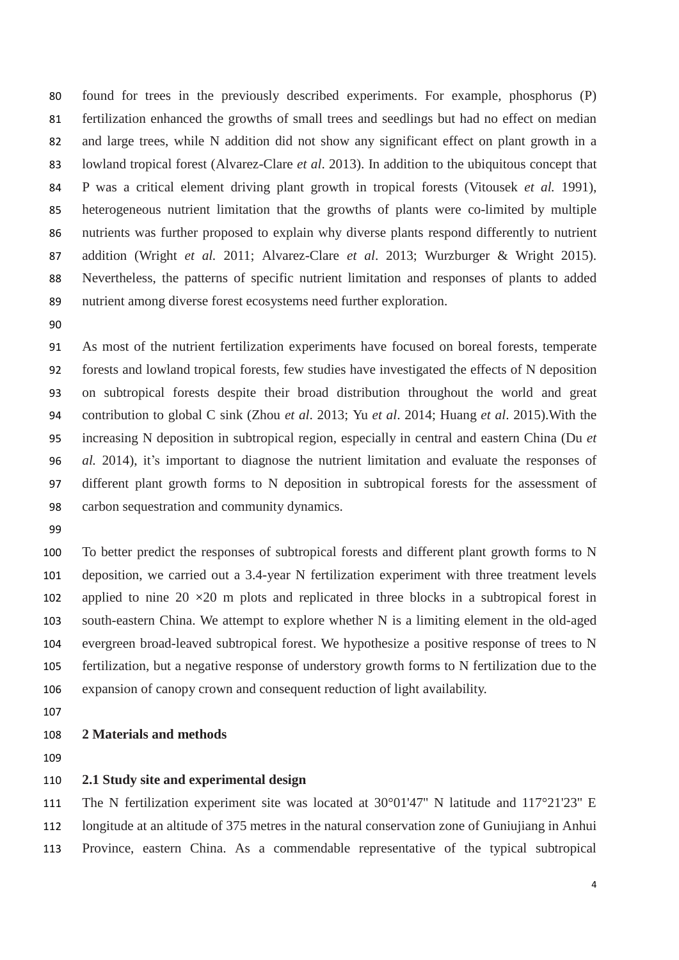found for trees in the previously described experiments. For example, phosphorus (P) fertilization enhanced the growths of small trees and seedlings but had no effect on median and large trees, while N addition did not show any significant effect on plant growth in a lowland tropical forest (Alvarez-Clare *et al*. 2013). In addition to the ubiquitous concept that P was a critical element driving plant growth in tropical forests (Vitousek *et al.* 1991), heterogeneous nutrient limitation that the growths of plants were co-limited by multiple nutrients was further proposed to explain why diverse plants respond differently to nutrient addition (Wright *et al.* 2011; Alvarez-Clare *et al*. 2013; Wurzburger & Wright 2015). Nevertheless, the patterns of specific nutrient limitation and responses of plants to added nutrient among diverse forest ecosystems need further exploration.

 As most of the nutrient fertilization experiments have focused on boreal forests, temperate forests and lowland tropical forests, few studies have investigated the effects of N deposition on subtropical forests despite their broad distribution throughout the world and great contribution to global C sink (Zhou *et al*. 2013; Yu *et al*. 2014; Huang *et al*. 2015).With the increasing N deposition in subtropical region, especially in central and eastern China (Du *et al.* 2014), it's important to diagnose the nutrient limitation and evaluate the responses of different plant growth forms to N deposition in subtropical forests for the assessment of carbon sequestration and community dynamics.

 To better predict the responses of subtropical forests and different plant growth forms to N deposition, we carried out a 3.4-year N fertilization experiment with three treatment levels 102 applied to nine 20  $\times$  20 m plots and replicated in three blocks in a subtropical forest in south-eastern China. We attempt to explore whether N is a limiting element in the old-aged evergreen broad-leaved subtropical forest. We hypothesize a positive response of trees to N fertilization, but a negative response of understory growth forms to N fertilization due to the expansion of canopy crown and consequent reduction of light availability.

## **2 Materials and methods**

## **2.1 Study site and experimental design**

 The N fertilization experiment site was located at 30°01'47'' N latitude and 117°21'23'' E longitude at an altitude of 375 metres in the natural conservation zone of Guniujiang in Anhui Province, eastern China. As a commendable representative of the typical subtropical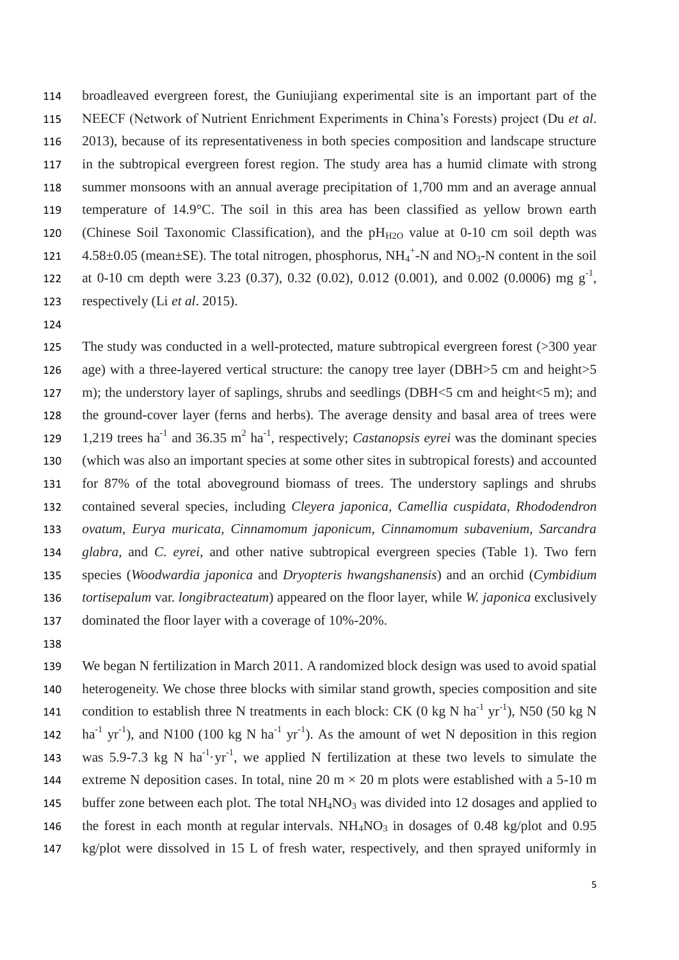broadleaved evergreen forest, the Guniujiang experimental site is an important part of the NEECF (Network of Nutrient Enrichment Experiments in China's Forests) project (Du *et al*. 2013), because of its representativeness in both species composition and landscape structure in the subtropical evergreen forest region. The study area has a humid climate with strong summer monsoons with an annual average precipitation of 1,700 mm and an average annual 119 temperature of 14.9 °C. The soil in this area has been classified as yellow brown earth 120 (Chinese Soil Taxonomic Classification), and the  $pH_{H2O}$  value at 0-10 cm soil depth was  $4.58 \pm 0.05$  (mean  $\pm$ SE). The total nitrogen, phosphorus, NH<sub>4</sub><sup>+</sup>-N and NO<sub>3</sub>-N content in the soil 122 at 0-10 cm depth were 3.23 (0.37), 0.32 (0.02), 0.012 (0.001), and 0.002 (0.0006) mg  $g^{-1}$ , respectively (Li *et al*. 2015).

 The study was conducted in a well-protected, mature subtropical evergreen forest (>300 year age) with a three-layered vertical structure: the canopy tree layer (DBH>5 cm and height>5 127 m); the understory layer of saplings, shrubs and seedlings (DBH $\le$ 5 cm and height $\le$ 5 m); and the ground-cover layer (ferns and herbs). The average density and basal area of trees were 129 1,219 trees ha<sup>-1</sup> and 36.35 m<sup>2</sup> ha<sup>-1</sup>, respectively; *Castanopsis eyrei* was the dominant species (which was also an important species at some other sites in subtropical forests) and accounted for 87% of the total aboveground biomass of trees. The understory saplings and shrubs contained several species, including *Cleyera japonica, Camellia cuspidata, Rhododendron ovatum, Eurya muricata, Cinnamomum japonicum, Cinnamomum subavenium, Sarcandra glabra,* and *C. eyrei*, and other native subtropical evergreen species (Table 1). Two fern species (*Woodwardia japonica* and *Dryopteris hwangshanensis*) and an orchid (*Cymbidium tortisepalum* var. *longibracteatum*) appeared on the floor layer, while *W. japonica* exclusively dominated the floor layer with a coverage of 10%-20%.

 We began N fertilization in March 2011. A randomized block design was used to avoid spatial heterogeneity. We chose three blocks with similar stand growth, species composition and site 141 condition to establish three N treatments in each block: CK (0 kg N ha<sup>-1</sup> yr<sup>-1</sup>), N50 (50 kg N 142 ha<sup>-1</sup> yr<sup>-1</sup>), and N100 (100 kg N ha<sup>-1</sup> yr<sup>-1</sup>). As the amount of wet N deposition in this region 143 was 5.9-7.3 kg N ha<sup>-1</sup> yr<sup>-1</sup>, we applied N fertilization at these two levels to simulate the 144 extreme N deposition cases. In total, nine 20 m  $\times$  20 m plots were established with a 5-10 m 145 buffer zone between each plot. The total  $NH<sub>4</sub>NO<sub>3</sub>$  was divided into 12 dosages and applied to 146 the forest in each month [at](javascript:void(0);) [regular](javascript:void(0);) [intervals.](javascript:void(0);)  $NH<sub>4</sub>NO<sub>3</sub>$  in dosages of 0.48 kg/plot and 0.95 kg/plot were dissolved in 15 L of fresh water, respectively, and then sprayed uniformly in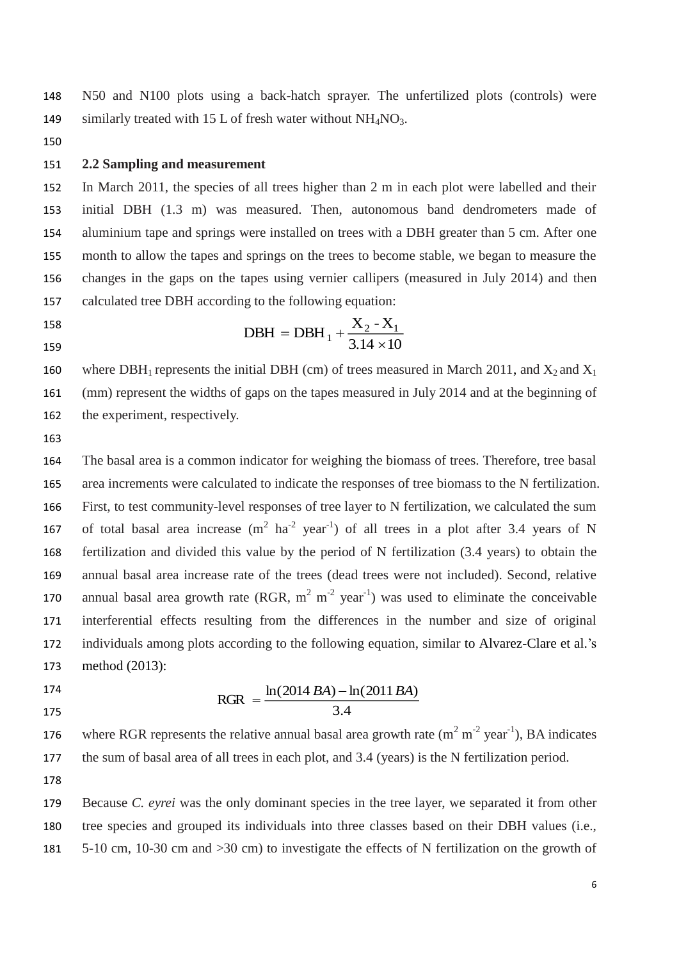N50 and N100 plots using a back-hatch sprayer. The unfertilized plots (controls) were 149 similarly treated with 15 L of fresh water without  $NH<sub>4</sub>NO<sub>3</sub>$ .

### **2.2 Sampling and measurement**

 In March 2011, the species of all trees higher than 2 m in each plot were labelled and their initial DBH (1.3 m) was measured. Then, autonomous band dendrometers made of aluminium tape and springs were installed on trees with a DBH greater than 5 cm. After one month to allow the tapes and springs on the trees to become stable, we began to measure the changes in the gaps on the tapes using vernier callipers (measured in July 2014) and then calculated tree DBH according to the following equation:

 

 $3.14 \times 10$  $DBH = DBH_1 + \frac{X_2 - X_1}{3.14 \times 10}$ = DBH + +

160 where DBH<sub>1</sub> represents the initial DBH (cm) of trees measured in March 2011, and  $X_2$  and  $X_1$  (mm) represent the widths of gaps on the tapes measured in July 2014 and at the beginning of the experiment, respectively.

 The basal area is a common indicator for weighing the biomass of trees. Therefore, tree basal area increments were calculated to indicate the responses of tree biomass to the N fertilization. First, to test community-level responses of tree layer to N fertilization, we calculated the sum 167 of total basal area increase  $(m^2 \text{ ha}^{-2} \text{ year}^{-1})$  of all trees in a plot after 3.4 years of N fertilization and divided this value by the period of N fertilization (3.4 years) to obtain the annual basal area increase rate of the trees (dead trees were not included). Second, relative 170 annual basal area growth rate (RGR,  $m^2$   $m^{-2}$  year<sup>-1</sup>) was used to eliminate the conceivable interferential effects resulting from the differences in the number and size of original individuals among plots according to the following equation, similar to Alvarez-Clare et al.'s method (2013):

 

$$
RGR = \frac{\ln(2014BA) - \ln(2011BA)}{3.4}
$$

176 where RGR represents the relative annual basal area growth rate  $(m^2 m^2 year^{-1})$ , BA indicates the sum of basal area of all trees in each plot, and 3.4 (years) is the N fertilization period.

 Because *C. eyrei* was the only dominant species in the tree layer, we separated it from other tree species and grouped its individuals into three classes based on their DBH values (i.e., 5-10 cm, 10-30 cm and >30 cm) to investigate the effects of N fertilization on the growth of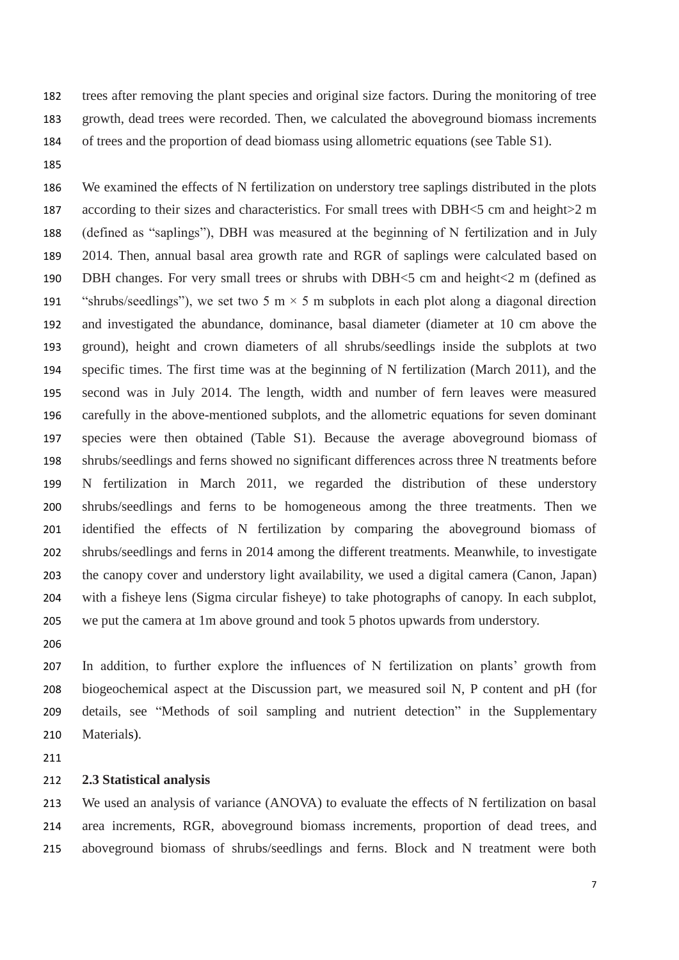trees after removing the plant species and original size factors. During the monitoring of tree growth, dead trees were recorded. Then, we calculated the aboveground biomass increments of trees and the proportion of dead biomass using allometric equations (see Table S1).

 We examined the effects of N fertilization on understory tree saplings distributed in the plots according to their sizes and characteristics. For small trees with DBH<5 cm and height>2 m (defined as "saplings"), DBH was measured at the beginning of N fertilization and in July 2014. Then, annual basal area growth rate and RGR of saplings were calculated based on DBH changes. For very small trees or shrubs with DBH<5 cm and height<2 m (defined as 191 "shrubs/seedlings"), we set two 5 m  $\times$  5 m subplots in each plot along a diagonal direction and investigated the abundance, dominance, basal diameter (diameter at 10 cm above the ground), height and crown diameters of all shrubs/seedlings inside the subplots at two specific times. The first time was at the beginning of N fertilization (March 2011), and the second was in July 2014. The length, width and number of fern leaves were measured carefully in the above-mentioned subplots, and the allometric equations for seven dominant species were then obtained (Table S1). Because the average aboveground biomass of shrubs/seedlings and ferns showed no significant differences across three N treatments before N fertilization in March 2011, we regarded the distribution of these understory shrubs/seedlings and ferns to be homogeneous among the three treatments. Then we identified the effects of N fertilization by comparing the aboveground biomass of shrubs/seedlings and ferns in 2014 among the different treatments. Meanwhile, to investigate the canopy cover and understory light availability, we used a digital camera (Canon, Japan) with a fisheye lens (Sigma circular fisheye) to take photographs of canopy. In each subplot, we put the camera at 1m above ground and took 5 photos upwards from understory.

 In addition, to further explore the influences of N fertilization on plants' growth from biogeochemical aspect at the Discussion part, we measured soil N, P content and pH (for details, see "Methods of soil sampling and nutrient detection" in the Supplementary Materials).

## **2.3 Statistical analysis**

 We used an analysis of variance (ANOVA) to evaluate the effects of N fertilization on basal area increments, RGR, aboveground biomass increments, proportion of dead trees, and aboveground biomass of shrubs/seedlings and ferns. Block and N treatment were both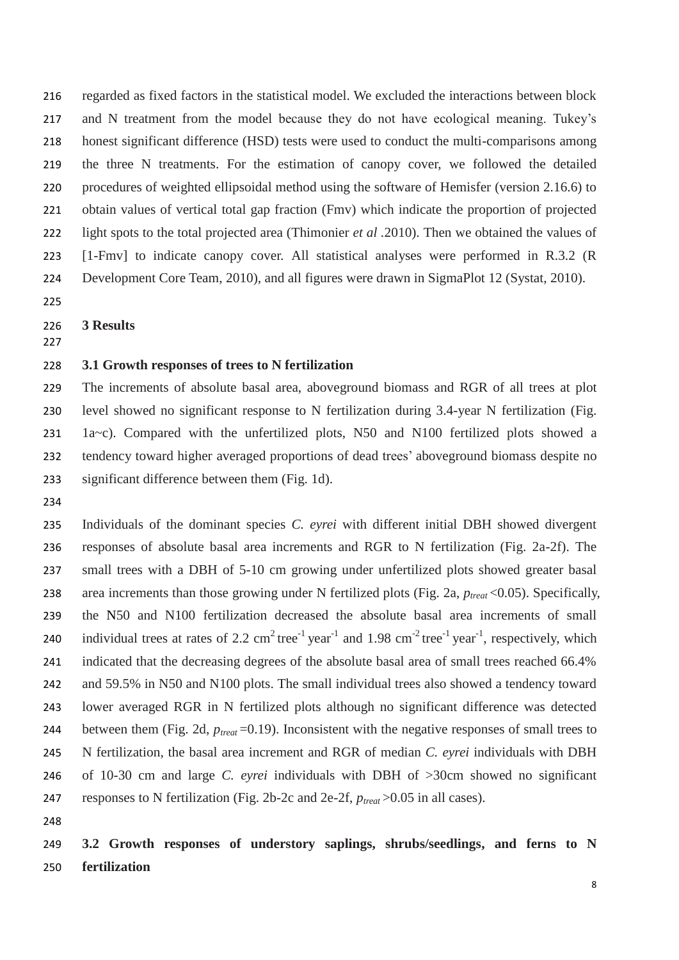regarded as fixed factors in the statistical model. We excluded the interactions between block and N treatment from the model because they do not have ecological meaning. Tukey's honest significant difference (HSD) tests were used to conduct the multi-comparisons among the three N treatments. For the estimation of canopy cover, we followed the detailed procedures of weighted ellipsoidal method using the software of Hemisfer (version 2.16.6) to obtain values of vertical total gap fraction (Fmv) which indicate the proportion of projected light spots to the total projected area (Thimonier *et al .*2010). Then we obtained the values of [1-Fmv] to indicate canopy cover. All statistical analyses were performed in R.3.2 (R Development Core Team, 2010), and all figures were drawn in SigmaPlot 12 (Systat, 2010).

## **3 Results**

## **3.1 Growth responses of trees to N fertilization**

 The increments of absolute basal area, aboveground biomass and RGR of all trees at plot level showed no significant response to N fertilization during 3.4-year N fertilization (Fig. 1a~c). Compared with the unfertilized plots, N50 and N100 fertilized plots showed a tendency toward higher averaged proportions of dead trees' aboveground biomass despite no significant difference between them (Fig. 1d).

 Individuals of the dominant species *C. eyrei* with different initial DBH showed divergent responses of absolute basal area increments and RGR to N fertilization (Fig. 2a-2f). The small trees with a DBH of 5-10 cm growing under unfertilized plots showed greater basal area increments than those growing under N fertilized plots (Fig. 2a, *ptreat* <0.05). Specifically, the N50 and N100 fertilization decreased the absolute basal area increments of small 240 individual trees at rates of 2.2  $\text{cm}^2 \text{ tree}^{-1} \text{ year}^{-1}$  and 1.98  $\text{cm}^{-2} \text{ tree}^{-1} \text{ year}^{-1}$ , respectively, which 241 indicated that the decreasing degrees of the absolute basal area of small trees reached 66.4% and 59.5% in N50 and N100 plots. The small individual trees also showed a tendency toward lower averaged RGR in N fertilized plots although no significant difference was detected 244 between them (Fig. 2d,  $p_{treat} = 0.19$ ). Inconsistent with the negative responses of small trees to N fertilization, the basal area increment and RGR of median *C. eyrei* individuals with DBH of 10-30 cm and large *C. eyrei* individuals with DBH of >30cm showed no significant responses to N fertilization (Fig. 2b-2c and 2e-2f, *ptreat* >0.05 in all cases).

 **3.2 Growth responses of understory saplings, shrubs/seedlings, and ferns to N fertilization**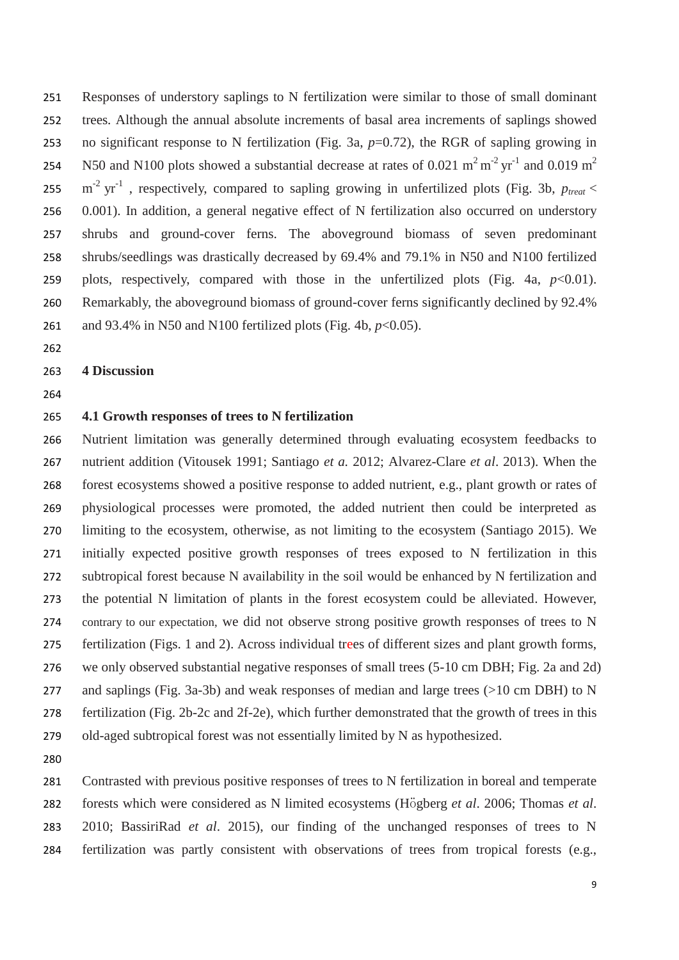Responses of understory saplings to N fertilization were similar to those of small dominant trees*.* Although the annual absolute increments of basal area increments of saplings showed no significant response to N fertilization (Fig. 3a, *p*=0.72), the RGR of sapling growing in N50 and N100 plots showed a substantial decrease at rates of 0.021  $m^2 m^{-2}$  yr<sup>-1</sup> and 0.019  $m^2$   $\text{m}^2$  yr<sup>-1</sup>, respectively, compared to sapling growing in unfertilized plots (Fig. 3b,  $p_{\text{treat}}$  0.001). In addition, a general negative effect of N fertilization also occurred on understory shrubs and ground-cover ferns. The aboveground biomass of seven predominant shrubs/seedlings was drastically decreased by 69.4% and 79.1% in N50 and N100 fertilized 259 plots, respectively, compared with those in the unfertilized plots (Fig. 4a,  $p<0.01$ ). Remarkably, the aboveground biomass of ground-cover ferns significantly declined by 92.4% and 93.4% in N50 and N100 fertilized plots (Fig. 4b, *p*<0.05).

## **4 Discussion**

### **4.1 Growth responses of trees to N fertilization**

 Nutrient limitation was generally determined through evaluating ecosystem feedbacks to nutrient addition (Vitousek 1991; Santiago *et a.* 2012; Alvarez-Clare *et al*. 2013). When the forest ecosystems showed a positive response to added nutrient, e.g., plant growth or rates of physiological processes were promoted, the added nutrient then could be interpreted as limiting to the ecosystem, otherwise, as not limiting to the ecosystem (Santiago 2015). We initially expected positive growth responses of trees exposed to N fertilization in this subtropical forest because N availability in the soil would be enhanced by N fertilization and the potential N limitation of plants in the forest ecosystem could be alleviated. However, contrary to our expectation, we did not observe strong positive growth responses of trees to N fertilization (Figs. 1 and 2). Across individual trees of different sizes and plant growth forms, we only observed substantial negative responses of small trees (5-10 cm DBH; Fig. 2a and 2d) and saplings (Fig. 3a-3b) and weak responses of median and large trees (>10 cm DBH) to N fertilization (Fig. 2b-2c and 2f-2e), which further demonstrated that the growth of trees in this old-aged subtropical forest was not essentially limited by N as hypothesized.

 Contrasted with previous positive responses of trees to N fertilization in boreal and temperate forests which were considered as N limited ecosystems (Högberg *et al*. 2006; Thomas *et al*. 2010; BassiriRad *et al*. 2015), our finding of the unchanged responses of trees to N fertilization was partly consistent with observations of trees from tropical forests (e.g.,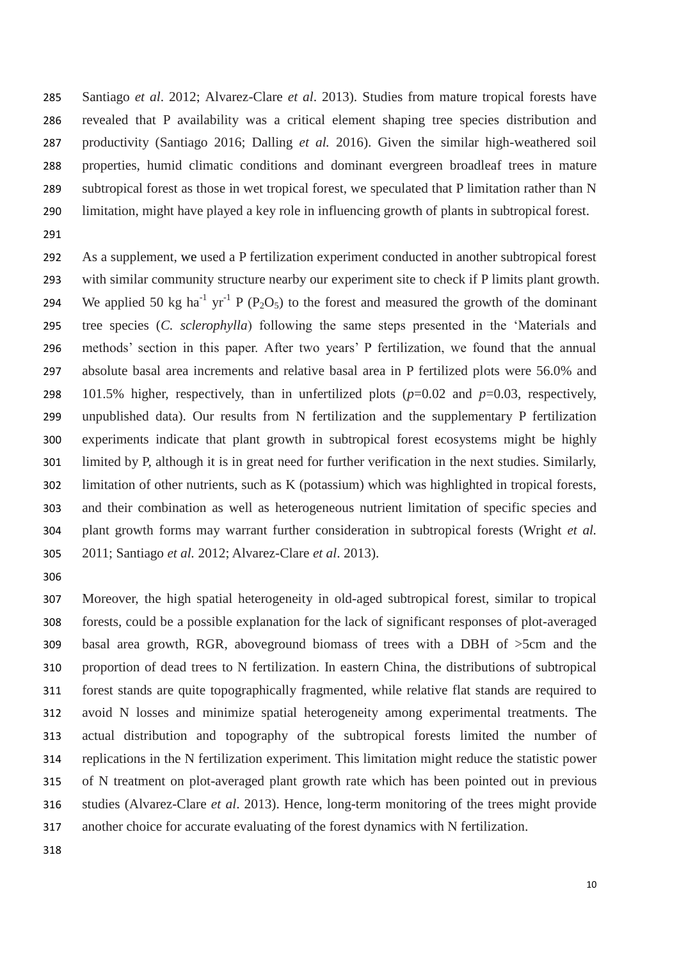Santiago *et al*. 2012; Alvarez-Clare *et al*. 2013). Studies from mature tropical forests have revealed that P availability was a critical element shaping tree species distribution and productivity (Santiago 2016; Dalling *et al.* 2016). Given the similar high-weathered soil properties, humid climatic conditions and dominant evergreen broadleaf trees in mature subtropical forest as those in wet tropical forest, we [speculated](javascript:void(0);) that P limitation rather than N limitation, might have played a key role in influencing growth of plants in subtropical forest.

 As a supplement, we used a P fertilization experiment conducted in another subtropical forest with similar community structure nearby our experiment site to check if P limits plant growth. 294 We applied 50 kg ha<sup>-1</sup> yr<sup>-1</sup> P (P<sub>2</sub>O<sub>5</sub>) to the forest and measured the growth of the dominant tree species (*C. sclerophylla*) following the same steps presented in the 'Materials and methods' section in this paper. After two years' P fertilization, we found that the annual absolute basal area increments and relative basal area in P fertilized plots were 56.0% and 101.5% higher, respectively, than in unfertilized plots (*p*=0.02 and *p*=0.03, respectively, unpublished data). Our results from N fertilization and the supplementary P fertilization experiments indicate that plant growth in subtropical forest ecosystems might be highly limited by P, although it is in great need for further verification in the next studies. Similarly, limitation of other nutrients, such as K (potassium) which was highlighted in tropical forests, and their combination as well as heterogeneous nutrient limitation of specific species and plant growth forms may warrant further consideration in subtropical forests (Wright *et al.* 2011; Santiago *et al.* 2012; Alvarez-Clare *et al*. 2013).

 Moreover, the high spatial heterogeneity in old-aged subtropical forest, similar to tropical forests, could be a possible explanation for the lack of significant responses of plot-averaged basal area growth, RGR, aboveground biomass of trees with a DBH of >5cm and the proportion of dead trees to N fertilization. In eastern China, the distributions of subtropical forest stands are quite topographically fragmented, while relative flat stands are required to avoid N losses and minimize spatial heterogeneity among experimental treatments. The actual distribution and topography of the subtropical forests limited the number of replications in the N fertilization experiment. This limitation might reduce the statistic power of N treatment on plot-averaged plant growth rate which has been pointed out in previous studies (Alvarez-Clare *et al*. 2013). Hence, long-term monitoring of the trees might provide another choice for accurate evaluating of the forest dynamics with N fertilization.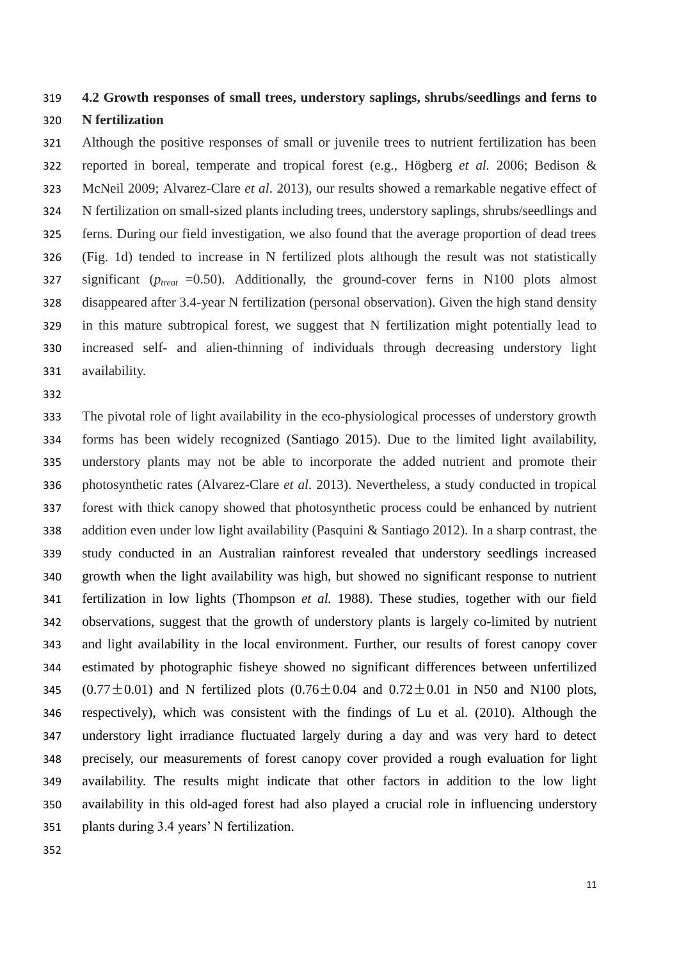## **4.2 Growth responses of small trees, understory saplings, shrubs/seedlings and ferns to N fertilization**

 Although the positive responses of small or juvenile trees to nutrient fertilization has been reported in boreal, temperate and tropical forest (e.g., Högberg *et al.* 2006; Bedison & McNeil 2009; Alvarez-Clare *et al*. 2013), our results showed a remarkable negative effect of N fertilization on small-sized plants including trees, understory saplings, shrubs/seedlings and ferns. During our field investigation, we also found that the average proportion of dead trees (Fig. 1d) tended to increase in N fertilized plots although the result was not statistically significant (*ptreat* =0.50). Additionally, the ground-cover ferns in N100 plots almost disappeared after 3.4-year N fertilization (personal observation). Given the high stand density in this mature subtropical forest, we suggest that N fertilization might potentially lead to increased self- and alien-thinning of individuals through decreasing understory light availability.

 The pivotal role of light availability in the eco-physiological processes of understory growth forms has been widely recognized (Santiago 2015). Due to the limited light availability, understory plants may not be able to incorporate the added nutrient and promote their photosynthetic rates (Alvarez-Clare *et al*. 2013). Nevertheless, a study conducted in tropical forest with thick canopy showed that photosynthetic process could be enhanced by nutrient addition even under low light availability (Pasquini & Santiago 2012). In a sharp contrast, the study conducted in an Australian rainforest revealed that understory seedlings increased growth when the light availability was high, but showed no significant response to nutrient fertilization in low lights (Thompson *et al.* 1988). These studies, together with our field observations, suggest that the growth of understory plants is largely co-limited by nutrient and light availability in the local environment. Further, our results of forest canopy cover estimated by photographic fisheye showed no significant differences between unfertilized 345 (0.77 $\pm$ 0.01) and N fertilized plots (0.76 $\pm$ 0.04 and 0.72 $\pm$ 0.01 in N50 and N100 plots, respectively), which was consistent with the findings of Lu et al. (2010). Although the understory light irradiance fluctuated largely during a day and was very hard to detect precisely, our measurements of forest canopy cover provided a rough evaluation for light availability. The results might indicate that other factors in addition to the low light availability in this old-aged forest had also played a crucial role in influencing understory plants during 3.4 years' N fertilization.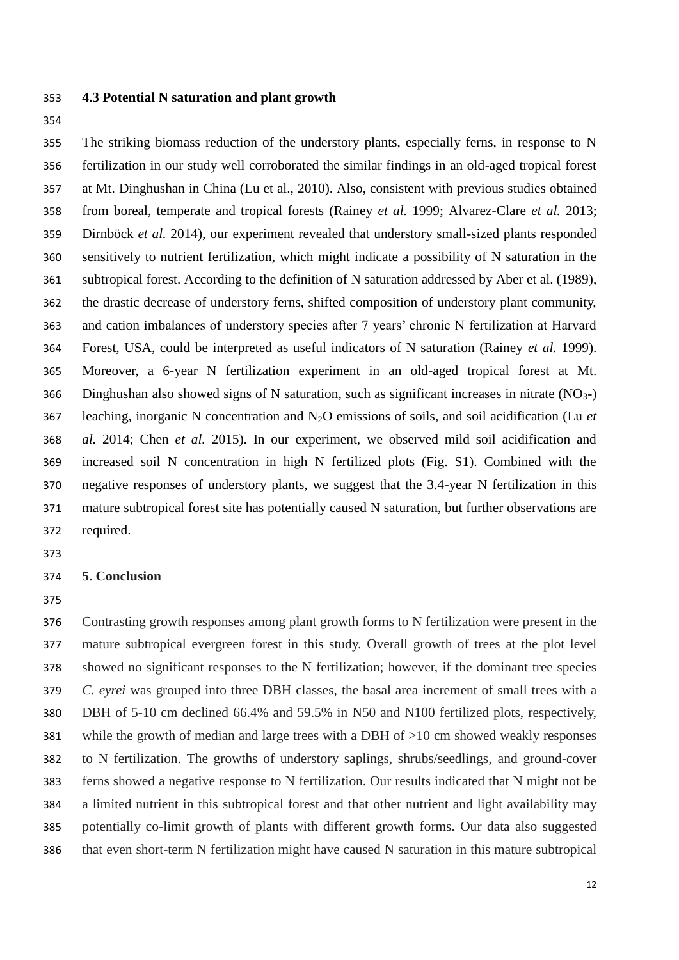## **4.3 Potential N saturation and plant growth**

 The striking biomass reduction of the understory plants, especially ferns, in response to N fertilization in our study well corroborated the similar findings in an old-aged tropical forest at Mt. Dinghushan in China (Lu et al., 2010). Also, consistent with previous studies obtained from boreal, temperate and tropical forests (Rainey *et al.* 1999; Alvarez-Clare *et al.* 2013; Dirnböck *et al.* 2014), our experiment revealed that understory small-sized plants responded sensitively to nutrient fertilization, which might indicate a possibility of N saturation in the subtropical forest. According to the definition of N saturation addressed by Aber et al. (1989), the drastic decrease of understory ferns, shifted composition of understory plant community, and cation imbalances of understory species after 7 years' chronic N fertilization at Harvard Forest, USA, could be interpreted as useful indicators of N saturation (Rainey *et al.* 1999). Moreover, a 6-year N fertilization experiment in an old-aged tropical forest at Mt. 366 Dinghushan also showed signs of N saturation, such as significant increases in nitrate  $(NO<sub>3</sub>-)$  leaching, inorganic N concentration and N2O emissions of soils, and soil acidification (Lu *et al.* 2014; Chen *et al.* 2015). In our experiment, we observed mild soil acidification and increased soil N concentration in high N fertilized plots (Fig. S1). Combined with the negative responses of understory plants, we suggest that the 3.4-year N fertilization in this mature subtropical forest site has potentially caused N saturation, but further observations are required.

### **5. Conclusion**

 Contrasting growth responses among plant growth forms to N fertilization were present in the mature subtropical evergreen forest in this study. Overall growth of trees at the plot level showed no significant responses to the N fertilization; however, if the dominant tree species *C. eyrei* was grouped into three DBH classes, the basal area increment of small trees with a DBH of 5-10 cm declined 66.4% and 59.5% in N50 and N100 fertilized plots, respectively, while the growth of median and large trees with a DBH of >10 cm showed weakly responses to N fertilization. The growths of understory saplings, shrubs/seedlings, and ground-cover ferns showed a negative response to N fertilization. Our results indicated that N might not be a limited nutrient in this subtropical forest and that other nutrient and light availability may potentially co-limit growth of plants with different growth forms. Our data also suggested that even short-term N fertilization might have caused N saturation in this mature subtropical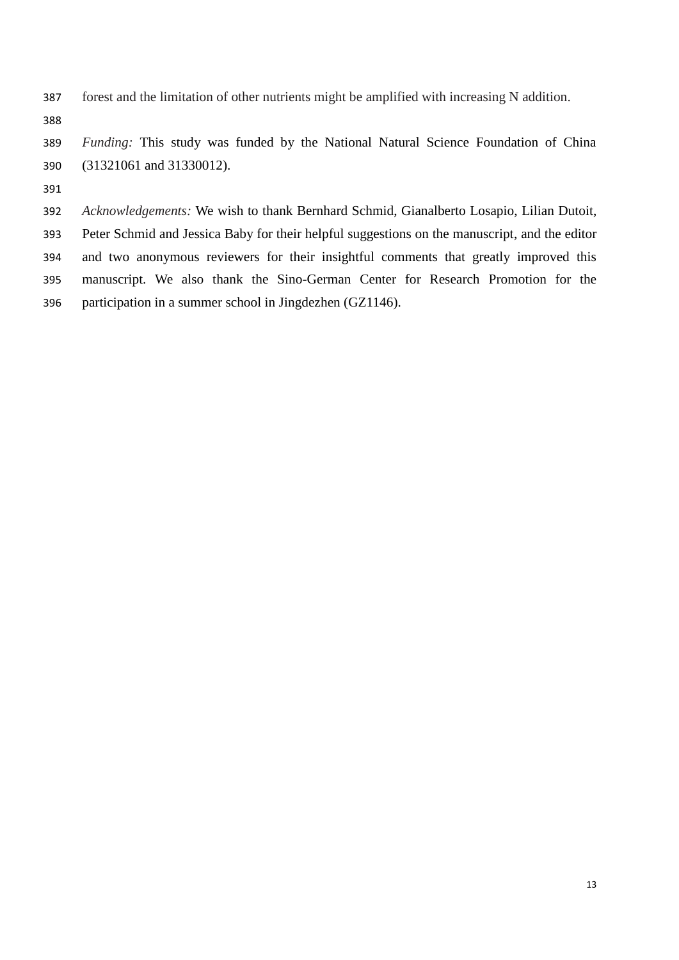- forest and the limitation of other nutrients might be amplified with increasing N addition.
- 

 *Funding:* This study was funded by the National Natural Science Foundation of China (31321061 and 31330012).

 *Acknowledgements:* We wish to thank Bernhard Schmid, Gianalberto Losapio, Lilian Dutoit, Peter Schmid and Jessica Baby for their helpful suggestions on the manuscript, and the editor and two anonymous reviewers for their insightful comments that greatly improved this manuscript. We also thank the Sino-German Center for Research Promotion for the participation in a summer school in Jingdezhen (GZ1146).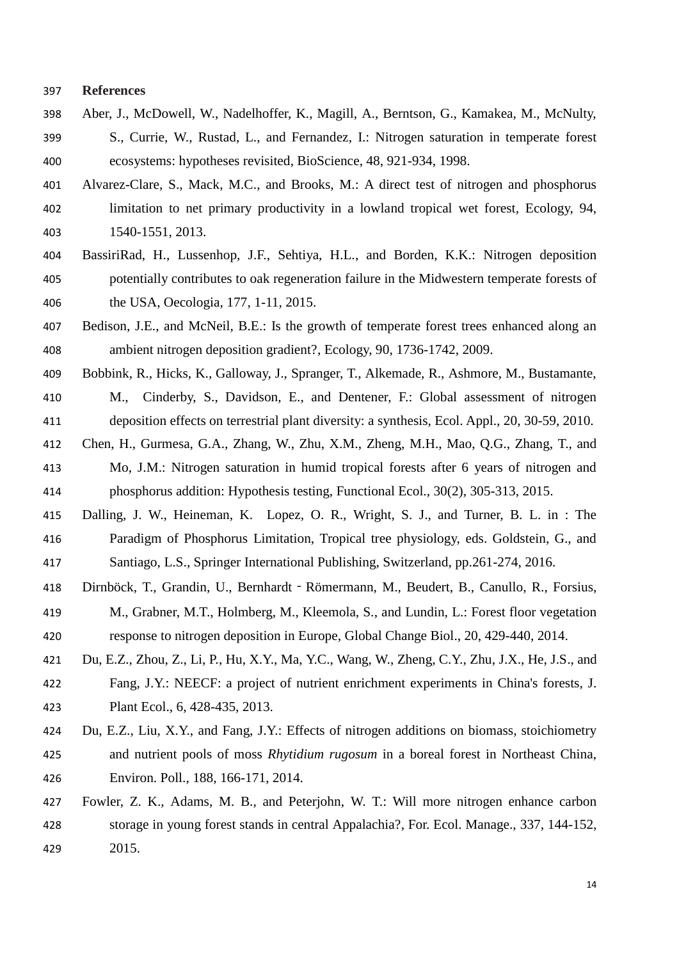#### **References**

- Aber, J., McDowell, W., Nadelhoffer, K., Magill, A., Berntson, G., Kamakea, M., McNulty, S., Currie, W., Rustad, L., and Fernandez, I.: Nitrogen saturation in temperate forest ecosystems: hypotheses revisited, BioScience, 48, 921-934, 1998.
- Alvarez-Clare, S., Mack, M.C., and Brooks, M.: A direct test of nitrogen and phosphorus limitation to net primary productivity in a lowland tropical wet forest, Ecology, 94, 1540-1551, 2013.
- BassiriRad, H., Lussenhop, J.F., Sehtiya, H.L., and Borden, K.K.: Nitrogen deposition potentially contributes to oak regeneration failure in the Midwestern temperate forests of the USA, Oecologia, 177, 1-11, 2015.
- Bedison, J.E., and McNeil, B.E.: Is the growth of temperate forest trees enhanced along an ambient nitrogen deposition gradient?, Ecology, 90, 1736-1742, 2009.
- Bobbink, R., Hicks, K., Galloway, J., Spranger, T., Alkemade, R., Ashmore, M., Bustamante, M., Cinderby, S., Davidson, E., and Dentener, F.: Global assessment of nitrogen deposition effects on terrestrial plant diversity: a synthesis, Ecol. Appl., 20, 30-59, 2010.
- Chen, H., Gurmesa, G.A., Zhang, W., Zhu, X.M., Zheng, M.H., Mao, Q.G., Zhang, T., and Mo, J.M.: Nitrogen saturation in humid tropical forests after 6 years of nitrogen and phosphorus addition: Hypothesis testing, Functional Ecol., 30(2), 305-313, 2015.
- Dalling, J. W., Heineman, K. Lopez, O. R., Wright, S. J., and Turner, B. L. in : The Paradigm of Phosphorus Limitation, Tropical tree physiology, eds. Goldstein, G., and Santiago, L.S., Springer International Publishing, Switzerland, pp.261-274, 2016.
- Dirnböck, T., Grandin, U., Bernhardt‐Römermann, M., Beudert, B., Canullo, R., Forsius, M., Grabner, M.T., Holmberg, M., Kleemola, S., and Lundin, L.: Forest floor vegetation response to nitrogen deposition in Europe, Global Change Biol., 20, 429-440, 2014.
- Du, E.Z., Zhou, Z., Li, P., Hu, X.Y., Ma, Y.C., Wang, W., Zheng, C.Y., Zhu, J.X., He, J.S., and Fang, J.Y.: NEECF: a project of nutrient enrichment experiments in China's forests, J. Plant Ecol., 6, 428-435, 2013.
- Du, E.Z., Liu, X.Y., and Fang, J.Y.: Effects of nitrogen additions on biomass, stoichiometry and nutrient pools of moss *Rhytidium rugosum* in a boreal forest in Northeast China, Environ. Poll., 188, 166-171, 2014.
- Fowler, Z. K., Adams, M. B., and Peterjohn, W. T.: Will more nitrogen enhance carbon storage in young forest stands in central Appalachia?, For. Ecol. Manage., 337, 144-152, 2015.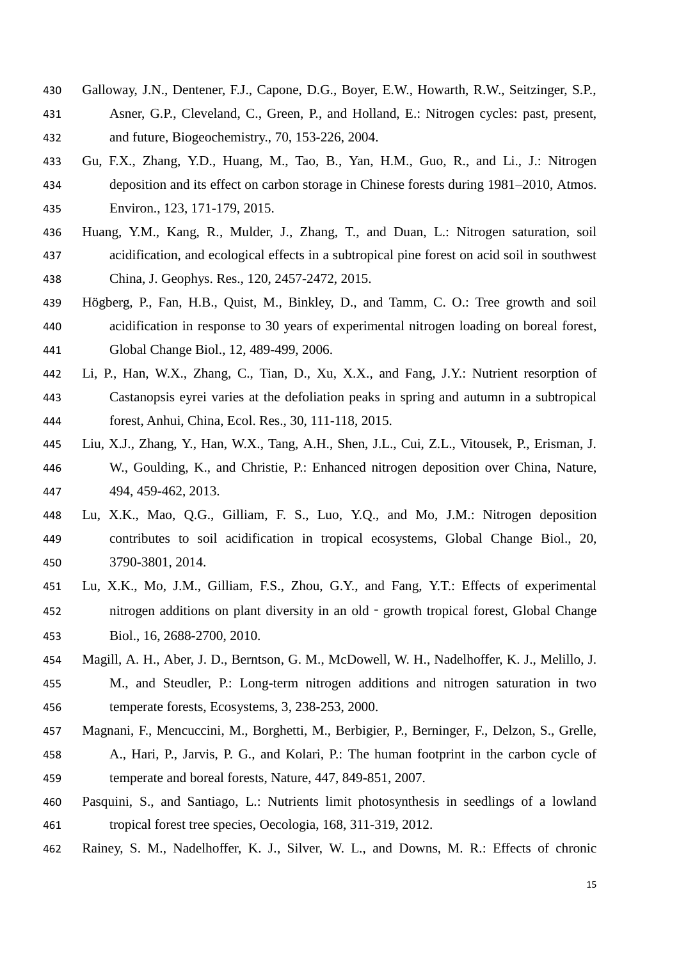- Galloway, J.N., Dentener, F.J., Capone, D.G., Boyer, E.W., Howarth, R.W., Seitzinger, S.P.,
- Asner, G.P., Cleveland, C., Green, P., and Holland, E.: Nitrogen cycles: past, present, and future, Biogeochemistry., 70, 153-226, 2004.
- Gu, F.X., Zhang, Y.D., Huang, M., Tao, B., Yan, H.M., Guo, R., and Li., J.: Nitrogen deposition and its effect on carbon storage in Chinese forests during 1981–2010, Atmos. Environ., 123, 171-179, 2015.
- Huang, Y.M., Kang, R., Mulder, J., Zhang, T., and Duan, L.: Nitrogen saturation, soil acidification, and ecological effects in a subtropical pine forest on acid soil in southwest China, J. Geophys. Res., 120, 2457-2472, 2015.
- Högberg, P., Fan, H.B., Quist, M., Binkley, D., and Tamm, C. O.: Tree growth and soil acidification in response to 30 years of experimental nitrogen loading on boreal forest, Global Change Biol., 12, 489-499, 2006.
- Li, P., Han, W.X., Zhang, C., Tian, D., Xu, X.X., and Fang, J.Y.: Nutrient resorption of Castanopsis eyrei varies at the defoliation peaks in spring and autumn in a subtropical forest, Anhui, China, Ecol. Res., 30, 111-118, 2015.
- Liu, X.J., Zhang, Y., Han, W.X., Tang, A.H., Shen, J.L., Cui, Z.L., Vitousek, P., Erisman, J. W., Goulding, K., and Christie, P.: Enhanced nitrogen deposition over China, Nature, 494, 459-462, 2013.
- Lu, X.K., Mao, Q.G., Gilliam, F. S., Luo, Y.Q., and Mo, J.M.: Nitrogen deposition contributes to soil acidification in tropical ecosystems, Global Change Biol., 20, 3790-3801, 2014.
- Lu, X.K., Mo, J.M., Gilliam, F.S., Zhou, G.Y., and Fang, Y.T.: Effects of experimental nitrogen additions on plant diversity in an old‐growth tropical forest, Global Change Biol., 16, 2688-2700, 2010.
- Magill, A. H., Aber, J. D., Berntson, G. M., McDowell, W. H., Nadelhoffer, K. J., Melillo, J. M., and Steudler, P.: Long-term nitrogen additions and nitrogen saturation in two temperate forests, Ecosystems, 3, 238-253, 2000.
- Magnani, F., Mencuccini, M., Borghetti, M., Berbigier, P., Berninger, F., Delzon, S., Grelle, A., Hari, P., Jarvis, P. G., and Kolari, P.: The human footprint in the carbon cycle of
- temperate and boreal forests, Nature, 447, 849-851, 2007.
- Pasquini, S., and Santiago, L.: Nutrients limit photosynthesis in seedlings of a lowland tropical forest tree species, Oecologia, 168, 311-319, 2012.
- Rainey, S. M., Nadelhoffer, K. J., Silver, W. L., and Downs, M. R.: Effects of chronic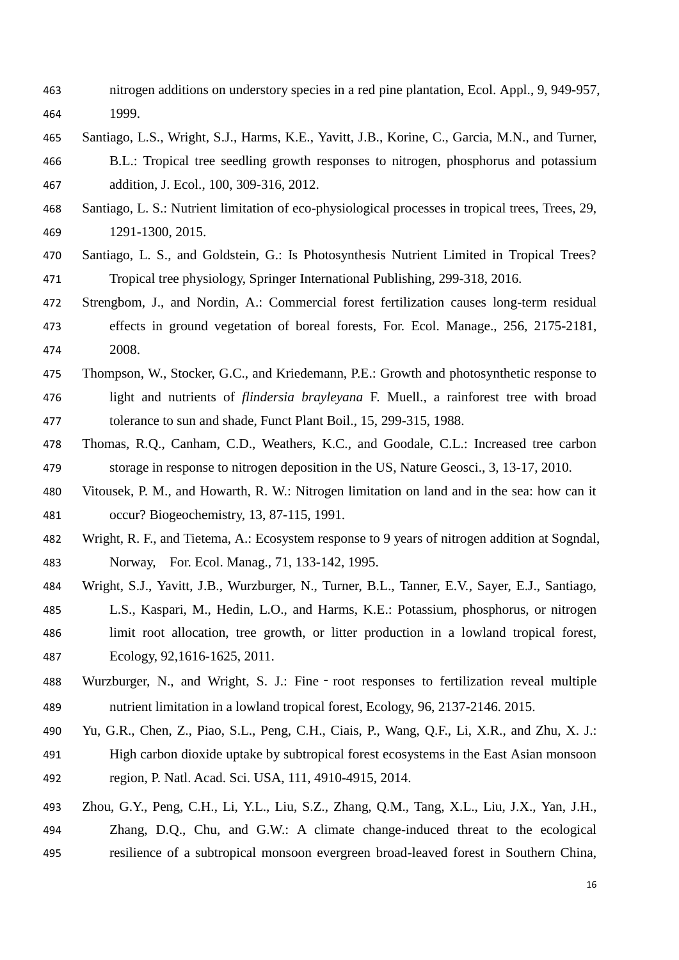- nitrogen additions on understory species in a red pine plantation, Ecol. Appl., 9, 949-957, 1999.
- Santiago, L.S., Wright, S.J., Harms, K.E., Yavitt, J.B., Korine, C., Garcia, M.N., and Turner, B.L.: Tropical tree seedling growth responses to nitrogen, phosphorus and potassium addition, J. Ecol., 100, 309-316, 2012.
- Santiago, L. S.: Nutrient limitation of eco-physiological processes in tropical trees, Trees, 29, 1291-1300, 2015.
- Santiago, L. S., and Goldstein, G.: Is Photosynthesis Nutrient Limited in Tropical Trees? Tropical tree physiology, Springer International Publishing, 299-318, 2016.
- Strengbom, J., and Nordin, A.: Commercial forest fertilization causes long-term residual effects in ground vegetation of boreal forests, For. Ecol. Manage., 256, 2175-2181, 2008.
- Thompson, W., Stocker, G.C., and Kriedemann, P.E.: Growth and photosynthetic response to light and nutrients of *flindersia brayleyana* F. Muell., a rainforest tree with broad tolerance to sun and shade, Funct Plant Boil., 15, 299-315, 1988.
- Thomas, R.Q., Canham, C.D., Weathers, K.C., and Goodale, C.L.: Increased tree carbon storage in response to nitrogen deposition in the US, Nature Geosci., 3, 13-17, 2010.
- Vitousek, P. M., and Howarth, R. W.: Nitrogen limitation on land and in the sea: how can it occur? Biogeochemistry, 13, 87-115, 1991.
- Wright, R. F., and Tietema, A.: Ecosystem response to 9 years of nitrogen addition at Sogndal, Norway, For. Ecol. Manag., 71, 133-142, 1995.
- Wright, S.J., Yavitt, J.B., Wurzburger, N., Turner, B.L., Tanner, E.V., Sayer, E.J., Santiago, L.S., Kaspari, M., Hedin, L.O., and Harms, K.E.: Potassium, phosphorus, or nitrogen limit root allocation, tree growth, or litter production in a lowland tropical forest, Ecology, 92,1616-1625, 2011.
- Wurzburger, N., and Wright, S. J.: Fine‐root responses to fertilization reveal multiple nutrient limitation in a lowland tropical forest, Ecology, 96, 2137-2146. 2015.
- Yu, G.R., Chen, Z., Piao, S.L., Peng, C.H., Ciais, P., Wang, Q.F., Li, X.R., and Zhu, X. J.:
- High carbon dioxide uptake by subtropical forest ecosystems in the East Asian monsoon region, P. Natl. Acad. Sci. USA, 111, 4910-4915, 2014.
- Zhou, G.Y., Peng, C.H., Li, Y.L., Liu, S.Z., Zhang, Q.M., Tang, X.L., Liu, J.X., Yan, J.H., Zhang, D.Q., Chu, and G.W.: A climate change-induced threat to the ecological resilience of a subtropical monsoon evergreen broad-leaved forest in Southern China,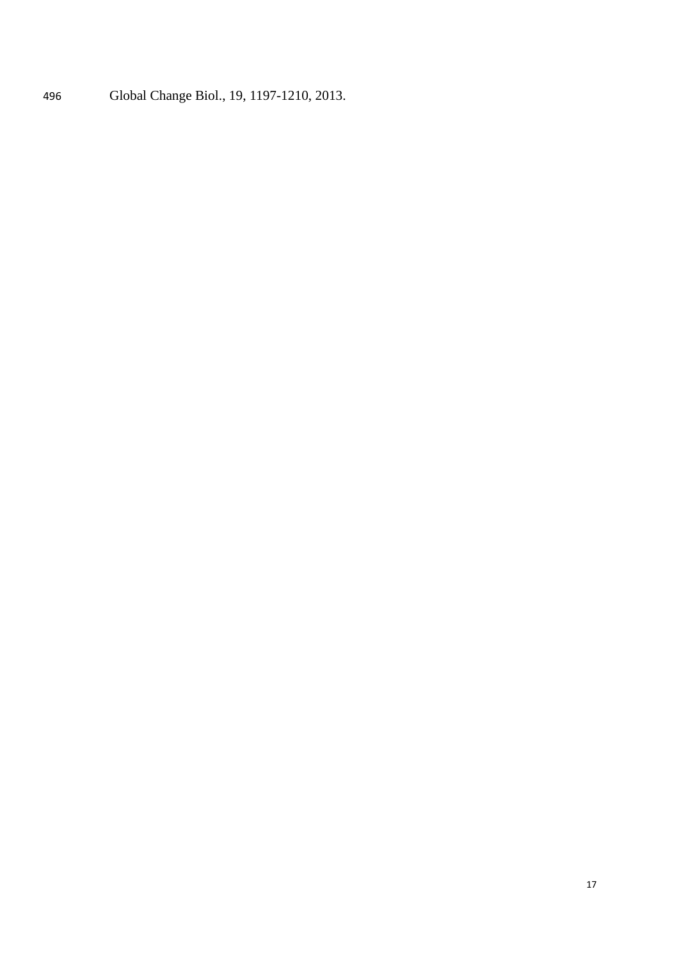Global Change Biol., 19, 1197-1210, 2013.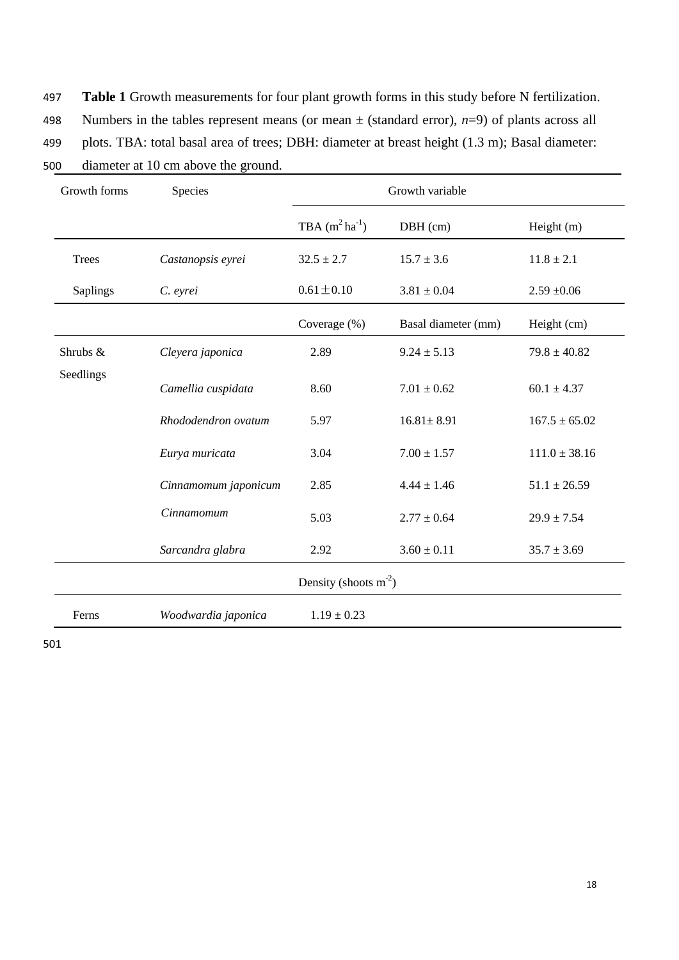497 **Table 1** Growth measurements for four plant growth forms in this study before N fertilization.

498 Numbers in the tables represent means (or mean  $\pm$  (standard error), *n*=9) of plants across all

499 plots. TBA: total basal area of trees; DBH: diameter at breast height (1.3 m); Basal diameter:

500 diameter at 10 cm above the ground.

| Growth forms            | Species              | Growth variable     |                     |                   |
|-------------------------|----------------------|---------------------|---------------------|-------------------|
|                         |                      | TBA $(m^2 ha^{-1})$ | DBH (cm)            | Height $(m)$      |
| <b>Trees</b>            | Castanopsis eyrei    | $32.5 \pm 2.7$      | $15.7 \pm 3.6$      | $11.8 \pm 2.1$    |
| Saplings                | C. eyrei             | $0.61 \pm 0.10$     | $3.81 \pm 0.04$     | $2.59 + 0.06$     |
|                         |                      | Coverage (%)        | Basal diameter (mm) | Height (cm)       |
| Shrubs &                | Cleyera japonica     | 2.89                | $9.24 \pm 5.13$     | $79.8 \pm 40.82$  |
| Seedlings               | Camellia cuspidata   | 8.60                | $7.01 \pm 0.62$     | $60.1 \pm 4.37$   |
|                         | Rhododendron ovatum  | 5.97                | $16.81 \pm 8.91$    | $167.5 \pm 65.02$ |
|                         | Eurya muricata       | 3.04                | $7.00 \pm 1.57$     | $111.0 \pm 38.16$ |
|                         | Cinnamomum japonicum | 2.85                | $4.44 \pm 1.46$     | $51.1 \pm 26.59$  |
|                         | Cinnamomum           | 5.03                | $2.77 \pm 0.64$     | $29.9 \pm 7.54$   |
|                         | Sarcandra glabra     | 2.92                | $3.60 \pm 0.11$     | $35.7 \pm 3.69$   |
| Density (shoots $m-2$ ) |                      |                     |                     |                   |
| Ferns                   | Woodwardia japonica  | $1.19 \pm 0.23$     |                     |                   |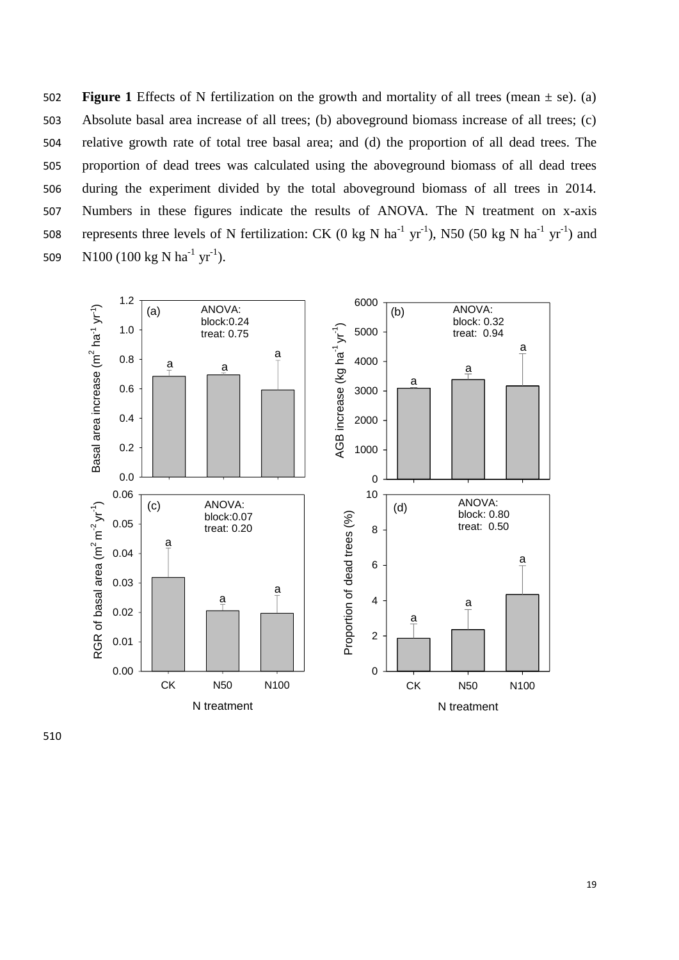**Figure** 1 Effects of N fertilization on the growth and mortality of all trees (mean  $\pm$  se). (a) Absolute basal area increase of all trees; (b) aboveground biomass increase of all trees; (c) relative growth rate of total tree basal area; and (d) the proportion of all dead trees. The proportion of dead trees was calculated using the aboveground biomass of all dead trees during the experiment divided by the total aboveground biomass of all trees in 2014. Numbers in these figures indicate the results of ANOVA. The N treatment on x-axis 508 represents three levels of N fertilization: CK (0 kg N ha<sup>-1</sup> yr<sup>-1</sup>), N50 (50 kg N ha<sup>-1</sup> yr<sup>-1</sup>) and 509 N100 (100 kg N ha<sup>-1</sup> yr<sup>-1</sup>).

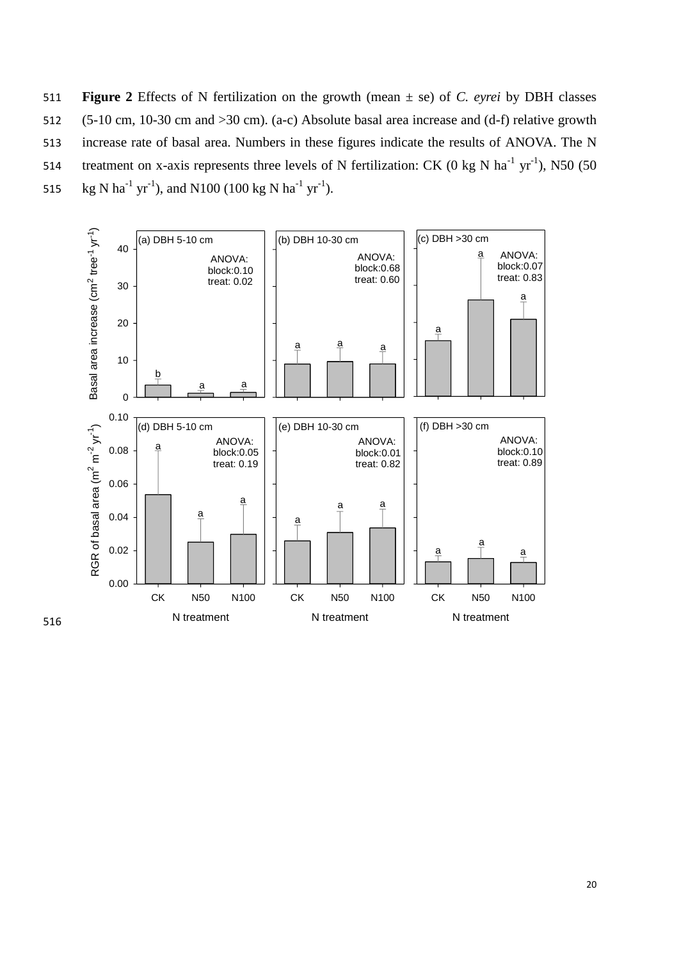511 **Figure 2** Effects of N fertilization on the growth (mean ± se) of *C. eyrei* by DBH classes 512 (5-10 cm, 10-30 cm and >30 cm). (a-c) Absolute basal area increase and (d-f) relative growth 513 increase rate of basal area. Numbers in these figures indicate the results of ANOVA. The N 514 treatment on x-axis represents three levels of N fertilization: CK (0 kg N ha<sup>-1</sup> yr<sup>-1</sup>), N50 (50 515 kg N ha<sup>-1</sup> yr<sup>-1</sup>), and N100 (100 kg N ha<sup>-1</sup> yr<sup>-1</sup>).

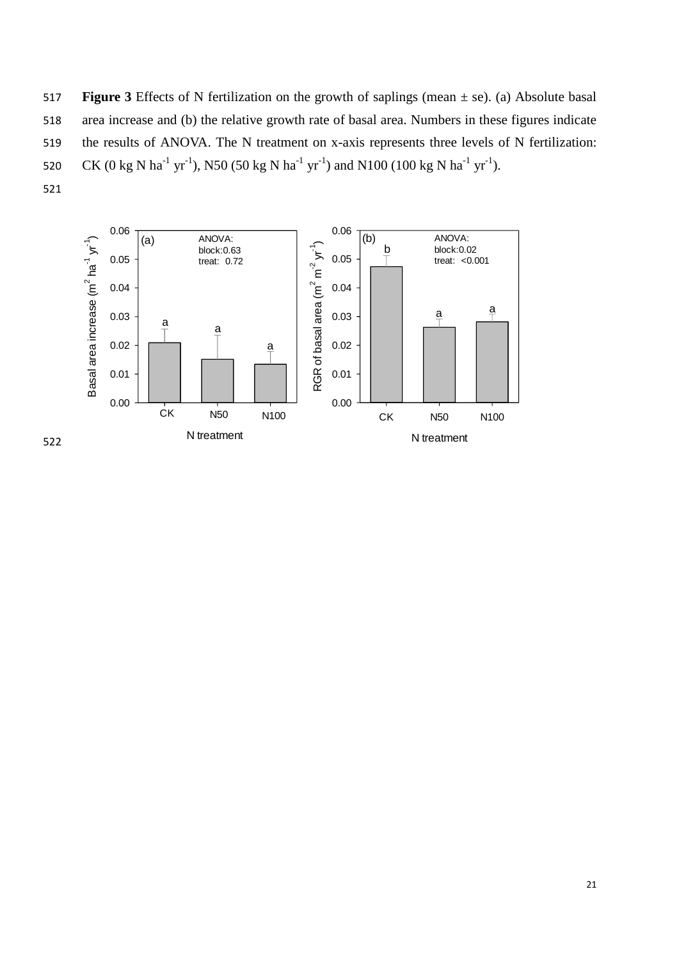**Figure 3** Effects of N fertilization on the growth of saplings (mean ± se). (a) Absolute basal area increase and (b) the relative growth rate of basal area. Numbers in these figures indicate the results of ANOVA. The N treatment on x-axis represents three levels of N fertilization: 520 CK (0 kg N ha<sup>-1</sup> yr<sup>-1</sup>), N50 (50 kg N ha<sup>-1</sup> yr<sup>-1</sup>) and N100 (100 kg N ha<sup>-1</sup> yr<sup>-1</sup>).